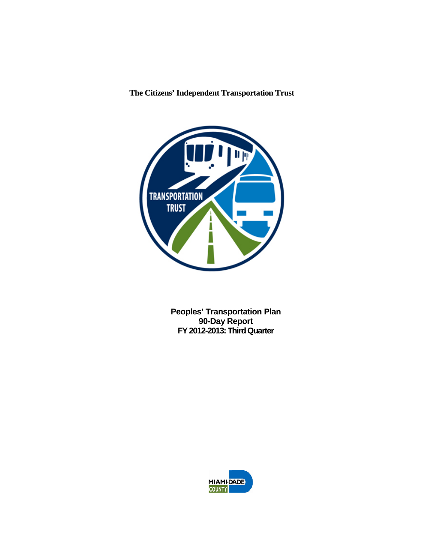

**Peoples' Transportation Plan 90-Day Report FY 2012-2013: Third Quarter**

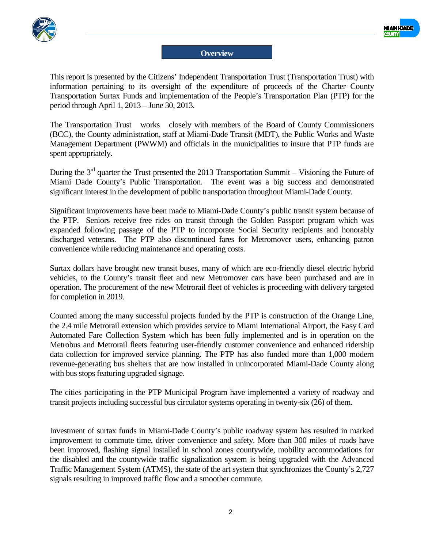



## **Overview**

This report is presented by the Citizens' Independent Transportation Trust (Transportation Trust) with information pertaining to its oversight of the expenditure of proceeds of the Charter County Transportation Surtax Funds and implementation of the People's Transportation Plan (PTP) for the period through April 1, 2013 – June 30, 2013.

The Transportation Trust works closely with members of the Board of County Commissioners (BCC), the County administration, staff at Miami-Dade Transit (MDT), the Public Works and Waste Management Department (PWWM) and officials in the municipalities to insure that PTP funds are spent appropriately.

During the  $3<sup>rd</sup>$  quarter the Trust presented the 2013 Transportation Summit – Visioning the Future of Miami Dade County's Public Transportation. The event was a big success and demonstrated significant interest in the development of public transportation throughout Miami-Dade County.

Significant improvements have been made to Miami-Dade County's public transit system because of the PTP. Seniors receive free rides on transit through the Golden Passport program which was expanded following passage of the PTP to incorporate Social Security recipients and honorably discharged veterans. The PTP also discontinued fares for Metromover users, enhancing patron convenience while reducing maintenance and operating costs.

Surtax dollars have brought new transit buses, many of which are eco-friendly diesel electric hybrid vehicles, to the County's transit fleet and new Metromover cars have been purchased and are in operation. The procurement of the new Metrorail fleet of vehicles is proceeding with delivery targeted for completion in 2019.

Counted among the many successful projects funded by the PTP is construction of the Orange Line, the 2.4 mile Metrorail extension which provides service to Miami International Airport, the Easy Card Automated Fare Collection System which has been fully implemented and is in operation on the Metrobus and Metrorail fleets featuring user-friendly customer convenience and enhanced ridership data collection for improved service planning. The PTP has also funded more than 1,000 modern revenue-generating bus shelters that are now installed in unincorporated Miami-Dade County along with bus stops featuring upgraded signage.

The cities participating in the PTP Municipal Program have implemented a variety of roadway and transit projects including successful bus circulator systems operating in twenty-six (26) of them.

Investment of surtax funds in Miami-Dade County's public roadway system has resulted in marked improvement to commute time, driver convenience and safety. More than 300 miles of roads have been improved, flashing signal installed in school zones countywide, mobility accommodations for the disabled and the countywide traffic signalization system is being upgraded with the Advanced Traffic Management System (ATMS), the state of the art system that synchronizes the County's 2,727 signals resulting in improved traffic flow and a smoother commute.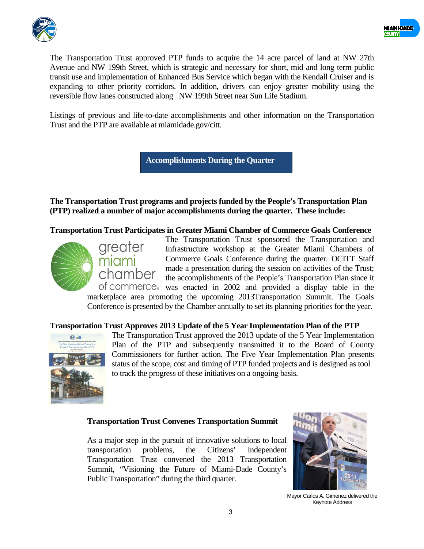



The Transportation Trust approved PTP funds to acquire the 14 acre parcel of land at NW 27th Avenue and NW 199th Street, which is strategic and necessary for short, mid and long term public transit use and implementation of Enhanced Bus Service which began with the Kendall Cruiser and is expanding to other priority corridors. In addition, drivers can enjoy greater mobility using the reversible flow lanes constructed along NW 199th Street near Sun Life Stadium.

Listings of previous and life-to-date accomplishments and other information on the Transportation Trust and the PTP are available at miamidade.gov/citt.

**Accomplishments During the Quarter**

**The Transportation Trust programs and projects funded by the People's Transportation Plan (PTP) realized a number of major accomplishments during the quarter. These include:**

**Transportation Trust Participates in Greater Miami Chamber of Commerce Goals Conference**



greater miami chamber

The Transportation Trust sponsored the Transportation and Infrastructure workshop at the Greater Miami Chambers of Commerce Goals Conference during the quarter. OCITT Staff made a presentation during the session on activities of the Trust; the accomplishments of the People's Transportation Plan since it of commerce. was enacted in 2002 and provided a display table in the

marketplace area promoting the upcoming 2013Transportation Summit. The Goals Conference is presented by the Chamber annually to set its planning priorities for the year.

## **Transportation Trust Approves 2013 Update of the 5 Year Implementation Plan of the PTP**



The Transportation Trust approved the 2013 update of the 5 Year Implementation Plan of the PTP and subsequently transmitted it to the Board of County Commissioners for further action. The Five Year Implementation Plan presents status of the scope, cost and timing of PTP funded projects and is designed as tool to track the progress of these initiatives on a ongoing basis.

## **Transportation Trust Convenes Transportation Summit**

As a major step in the pursuit of innovative solutions to local transportation problems, the Citizens' Independent Transportation Trust convened the 2013 Transportation Summit, "Visioning the Future of Miami-Dade County's Public Transportation" during the third quarter.



Mayor Carlos A. Gimenez delivered the Keynote Address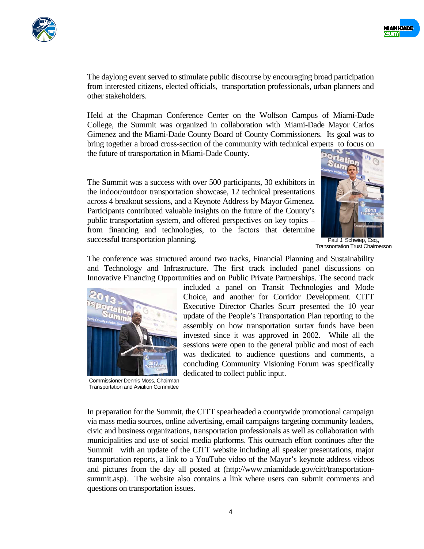



The daylong event served to stimulate public discourse by encouraging broad participation from interested citizens, elected officials, transportation professionals, urban planners and other stakeholders.

Held at the Chapman Conference Center on the Wolfson Campus of Miami-Dade College, the Summit was organized in collaboration with Miami-Dade Mayor Carlos Gimenez and the Miami-Dade County Board of County Commissioners. Its goal was to bring together a broad cross-section of the community with technical experts to focus on the future of transportation in Miami-Dade County.

The Summit was a success with over 500 participants, 30 exhibitors in the indoor/outdoor transportation showcase, 12 technical presentations across 4 breakout sessions, and a Keynote Address by Mayor Gimenez. Participants contributed valuable insights on the future of the County's public transportation system, and offered perspectives on key topics – from financing and technologies, to the factors that determine successful transportation planning.



Transportation Trust Chairperson

The conference was structured around two tracks, Financial Planning and Sustainability and Technology and Infrastructure. The first track included panel discussions on Innovative Financing Opportunities and on Public Private Partnerships. The second track



Commissioner Dennis Moss, Chairman Transportation and Aviation Committee

included a panel on Transit Technologies and Mode Choice, and another for Corridor Development. CITT Executive Director Charles Scurr presented the 10 year update of the People's Transportation Plan reporting to the assembly on how transportation surtax funds have been invested since it was approved in 2002. While all the sessions were open to the general public and most of each was dedicated to audience questions and comments, a concluding Community Visioning Forum was specifically dedicated to collect public input.

In preparation for the Summit, the CITT spearheaded a countywide promotional campaign via mass media sources, online advertising, email campaigns targeting community leaders, civic and business organizations, transportation professionals as well as collaboration with municipalities and use of social media platforms. This outreach effort continues after the Summit with an update of the CITT website including all speaker presentations, major transportation reports, a link to a YouTube video of the Mayor's keynote address videos and pictures from the day all posted at (http://www.miamidade.gov/citt/transportationsummit.asp). The website also contains a link where users can submit comments and questions on transportation issues.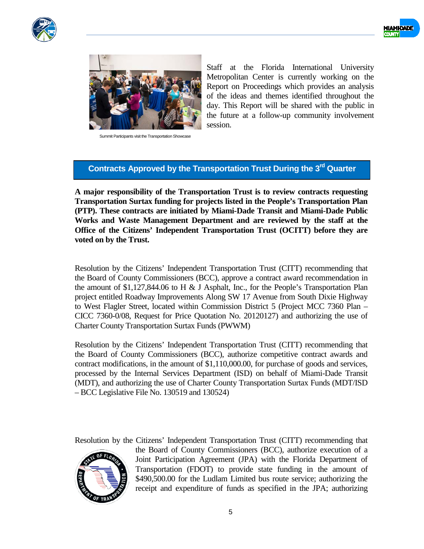





Summit Participants visit the Transportation Showcase

Staff at the Florida International University Metropolitan Center is currently working on the Report on Proceedings which provides an analysis of the ideas and themes identified throughout the day. This Report will be shared with the public in the future at a follow-up community involvement session.

# **Contracts Approved by the Transportation Trust During the 3rd Quarter**

**A major responsibility of the Transportation Trust is to review contracts requesting Transportation Surtax funding for projects listed in the People's Transportation Plan (PTP). These contracts are initiated by Miami-Dade Transit and Miami-Dade Public Works and Waste Management Department and are reviewed by the staff at the Office of the Citizens' Independent Transportation Trust (OCITT) before they are voted on by the Trust.** 

Resolution by the Citizens' Independent Transportation Trust (CITT) recommending that the Board of County Commissioners (BCC), approve a contract award recommendation in the amount of \$1,127,844.06 to H & J Asphalt, Inc., for the People's Transportation Plan project entitled Roadway Improvements Along SW 17 Avenue from South Dixie Highway to West Flagler Street, located within Commission District 5 (Project MCC 7360 Plan – CICC 7360-0/08, Request for Price Quotation No. 20120127) and authorizing the use of Charter County Transportation Surtax Funds (PWWM)

Resolution by the Citizens' Independent Transportation Trust (CITT) recommending that the Board of County Commissioners (BCC), authorize competitive contract awards and contract modifications, in the amount of \$1,110,000.00, for purchase of goods and services, processed by the Internal Services Department (ISD) on behalf of Miami-Dade Transit (MDT), and authorizing the use of Charter County Transportation Surtax Funds (MDT/ISD – BCC Legislative File No. 130519 and 130524)

Resolution by the Citizens' Independent Transportation Trust (CITT) recommending that



the Board of County Commissioners (BCC), authorize execution of a Joint Participation Agreement (JPA) with the Florida Department of Transportation (FDOT) to provide state funding in the amount of \$490,500.00 for the Ludlam Limited bus route service; authorizing the receipt and expenditure of funds as specified in the JPA; authorizing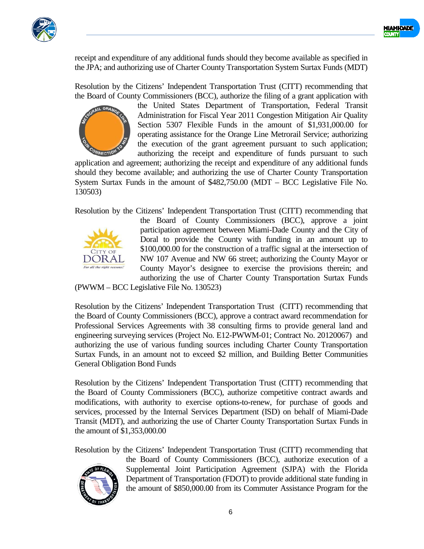



receipt and expenditure of any additional funds should they become available as specified in the JPA; and authorizing use of Charter County Transportation System Surtax Funds (MDT)

Resolution by the Citizens' Independent Transportation Trust (CITT) recommending that the Board of County Commissioners (BCC), authorize the filing of a grant application with



the United States Department of Transportation, Federal Transit Administration for Fiscal Year 2011 Congestion Mitigation Air Quality Section 5307 Flexible Funds in the amount of \$1,931,000.00 for operating assistance for the Orange Line Metrorail Service; authorizing the execution of the grant agreement pursuant to such application; authorizing the receipt and expenditure of funds pursuant to such

application and agreement; authorizing the receipt and expenditure of any additional funds should they become available; and authorizing the use of Charter County Transportation System Surtax Funds in the amount of \$482,750.00 (MDT – BCC Legislative File No. 130503)

Resolution by the Citizens' Independent Transportation Trust (CITT) recommending that



the Board of County Commissioners (BCC), approve a joint participation agreement between Miami-Dade County and the City of Doral to provide the County with funding in an amount up to \$100,000.00 for the construction of a traffic signal at the intersection of NW 107 Avenue and NW 66 street; authorizing the County Mayor or County Mayor's designee to exercise the provisions therein; and authorizing the use of Charter County Transportation Surtax Funds

(PWWM – BCC Legislative File No. 130523)

Resolution by the Citizens' Independent Transportation Trust (CITT) recommending that the Board of County Commissioners (BCC), approve a contract award recommendation for Professional Services Agreements with 38 consulting firms to provide general land and engineering surveying services (Project No. E12-PWWM-01; Contract No. 20120067) and authorizing the use of various funding sources including Charter County Transportation Surtax Funds, in an amount not to exceed \$2 million, and Building Better Communities General Obligation Bond Funds

Resolution by the Citizens' Independent Transportation Trust (CITT) recommending that the Board of County Commissioners (BCC), authorize competitive contract awards and modifications, with authority to exercise options-to-renew, for purchase of goods and services, processed by the Internal Services Department (ISD) on behalf of Miami-Dade Transit (MDT), and authorizing the use of Charter County Transportation Surtax Funds in the amount of \$1,353,000.00

Resolution by the Citizens' Independent Transportation Trust (CITT) recommending that



the Board of County Commissioners (BCC), authorize execution of a Supplemental Joint Participation Agreement (SJPA) with the Florida Department of Transportation (FDOT) to provide additional state funding in the amount of \$850,000.00 from its Commuter Assistance Program for the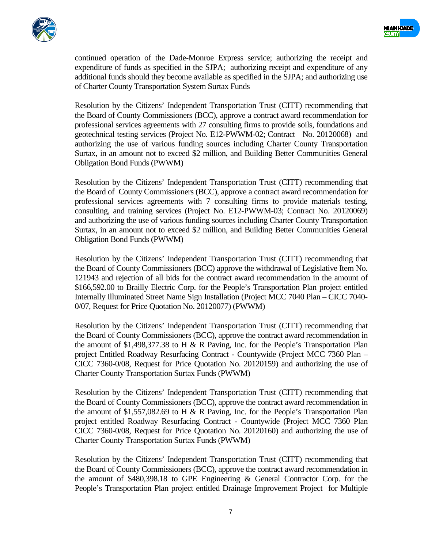



continued operation of the Dade-Monroe Express service; authorizing the receipt and expenditure of funds as specified in the SJPA; authorizing receipt and expenditure of any additional funds should they become available as specified in the SJPA; and authorizing use of Charter County Transportation System Surtax Funds

Resolution by the Citizens' Independent Transportation Trust (CITT) recommending that the Board of County Commissioners (BCC), approve a contract award recommendation for professional services agreements with 27 consulting firms to provide soils, foundations and geotechnical testing services (Project No. E12-PWWM-02; Contract No. 20120068) and authorizing the use of various funding sources including Charter County Transportation Surtax, in an amount not to exceed \$2 million, and Building Better Communities General Obligation Bond Funds (PWWM)

Resolution by the Citizens' Independent Transportation Trust (CITT) recommending that the Board of County Commissioners (BCC), approve a contract award recommendation for professional services agreements with 7 consulting firms to provide materials testing, consulting, and training services (Project No. E12-PWWM-03; Contract No. 20120069) and authorizing the use of various funding sources including Charter County Transportation Surtax, in an amount not to exceed \$2 million, and Building Better Communities General Obligation Bond Funds (PWWM)

Resolution by the Citizens' Independent Transportation Trust (CITT) recommending that the Board of County Commissioners (BCC) approve the withdrawal of Legislative Item No. 121943 and rejection of all bids for the contract award recommendation in the amount of \$166,592.00 to Brailly Electric Corp. for the People's Transportation Plan project entitled Internally Illuminated Street Name Sign Installation (Project MCC 7040 Plan – CICC 7040- 0/07, Request for Price Quotation No. 20120077) (PWWM)

Resolution by the Citizens' Independent Transportation Trust (CITT) recommending that the Board of County Commissioners (BCC), approve the contract award recommendation in the amount of \$1,498,377.38 to H & R Paving, Inc. for the People's Transportation Plan project Entitled Roadway Resurfacing Contract - Countywide (Project MCC 7360 Plan – CICC 7360-0/08, Request for Price Quotation No. 20120159) and authorizing the use of Charter County Transportation Surtax Funds (PWWM)

Resolution by the Citizens' Independent Transportation Trust (CITT) recommending that the Board of County Commissioners (BCC), approve the contract award recommendation in the amount of \$1,557,082.69 to H & R Paving, Inc. for the People's Transportation Plan project entitled Roadway Resurfacing Contract - Countywide (Project MCC 7360 Plan CICC 7360-0/08, Request for Price Quotation No. 20120160) and authorizing the use of Charter County Transportation Surtax Funds (PWWM)

Resolution by the Citizens' Independent Transportation Trust (CITT) recommending that the Board of County Commissioners (BCC), approve the contract award recommendation in the amount of \$480,398.18 to GPE Engineering & General Contractor Corp. for the People's Transportation Plan project entitled Drainage Improvement Project for Multiple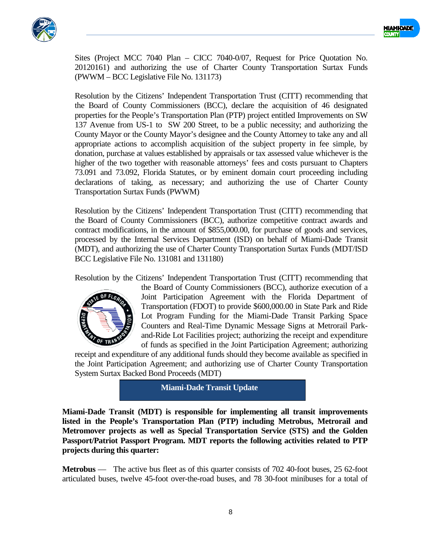



Sites (Project MCC 7040 Plan – CICC 7040-0/07, Request for Price Quotation No. 20120161) and authorizing the use of Charter County Transportation Surtax Funds (PWWM – BCC Legislative File No. 131173)

Resolution by the Citizens' Independent Transportation Trust (CITT) recommending that the Board of County Commissioners (BCC), declare the acquisition of 46 designated properties for the People's Transportation Plan (PTP) project entitled Improvements on SW 137 Avenue from US-1 to SW 200 Street, to be a public necessity; and authorizing the County Mayor or the County Mayor's designee and the County Attorney to take any and all appropriate actions to accomplish acquisition of the subject property in fee simple, by donation, purchase at values established by appraisals or tax assessed value whichever is the higher of the two together with reasonable attorneys' fees and costs pursuant to Chapters 73.091 and 73.092, Florida Statutes, or by eminent domain court proceeding including declarations of taking, as necessary; and authorizing the use of Charter County Transportation Surtax Funds (PWWM)

Resolution by the Citizens' Independent Transportation Trust (CITT) recommending that the Board of County Commissioners (BCC), authorize competitive contract awards and contract modifications, in the amount of \$855,000.00, for purchase of goods and services, processed by the Internal Services Department (ISD) on behalf of Miami-Dade Transit (MDT), and authorizing the use of Charter County Transportation Surtax Funds (MDT/ISD BCC Legislative File No. 131081 and 131180)

Resolution by the Citizens' Independent Transportation Trust (CITT) recommending that



the Board of County Commissioners (BCC), authorize execution of a Joint Participation Agreement with the Florida Department of Transportation (FDOT) to provide \$600,000.00 in State Park and Ride Lot Program Funding for the Miami-Dade Transit Parking Space Counters and Real-Time Dynamic Message Signs at Metrorail Parkand-Ride Lot Facilities project; authorizing the receipt and expenditure of funds as specified in the Joint Participation Agreement; authorizing

receipt and expenditure of any additional funds should they become available as specified in the Joint Participation Agreement; and authorizing use of Charter County Transportation System Surtax Backed Bond Proceeds (MDT)

**Miami-Dade Transit Update**

**Miami-Dade Transit (MDT) is responsible for implementing all transit improvements listed in the People's Transportation Plan (PTP) including Metrobus, Metrorail and Metromover projects as well as Special Transportation Service (STS) and the Golden Passport/Patriot Passport Program. MDT reports the following activities related to PTP projects during this quarter:**

**Metrobus** — The active bus fleet as of this quarter consists of 702 40-foot buses, 25 62-foot articulated buses, twelve 45-foot over-the-road buses, and 78 30-foot minibuses for a total of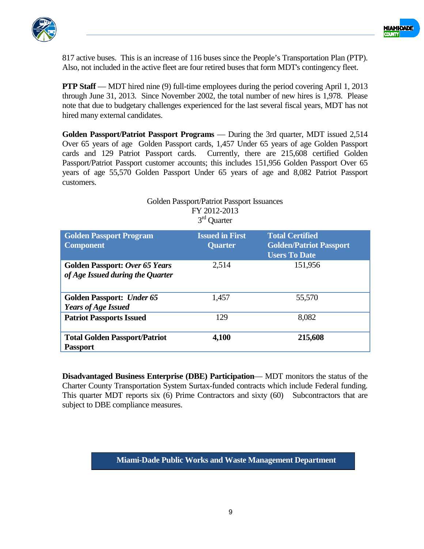



817 active buses. This is an increase of 116 buses since the People's Transportation Plan (PTP). Also, not included in the active fleet are four retired buses that form MDT's contingency fleet.

**PTP Staff** — MDT hired nine (9) full-time employees during the period covering April 1, 2013 through June 31, 2013. Since November 2002, the total number of new hires is 1,978. Please note that due to budgetary challenges experienced for the last several fiscal years, MDT has not hired many external candidates.

**Golden Passport/Patriot Passport Programs** — During the 3rd quarter, MDT issued 2,514 Over 65 years of age Golden Passport cards, 1,457 Under 65 years of age Golden Passport cards and 129 Patriot Passport cards. Currently, there are 215,608 certified Golden Passport/Patriot Passport customer accounts; this includes 151,956 Golden Passport Over 65 years of age 55,570 Golden Passport Under 65 years of age and 8,082 Patriot Passport customers.

|                                                                           | FY 2012-2013<br>$3rd$ Quarter            |                                                                                  |
|---------------------------------------------------------------------------|------------------------------------------|----------------------------------------------------------------------------------|
| <b>Golden Passport Program</b><br><b>Component</b>                        | <b>Issued in First</b><br><b>Quarter</b> | <b>Total Certified</b><br><b>Golden/Patriot Passport</b><br><b>Users To Date</b> |
| <b>Golden Passport: Over 65 Years</b><br>of Age Issued during the Quarter | 2,514                                    | 151,956                                                                          |
| <b>Golden Passport: Under 65</b><br><b>Years of Age Issued</b>            | 1,457                                    | 55,570                                                                           |
| <b>Patriot Passports Issued</b>                                           | 129                                      | 8,082                                                                            |
| <b>Total Golden Passport/Patriot</b><br><b>Passport</b>                   | 4,100                                    | 215,608                                                                          |

Golden Passport/Patriot Passport Issuances

**Disadvantaged Business Enterprise (DBE) Participation**— MDT monitors the status of the Charter County Transportation System Surtax-funded contracts which include Federal funding. This quarter MDT reports six (6) Prime Contractors and sixty (60) Subcontractors that are subject to DBE compliance measures.

**Miami-Dade Public Works and Waste Management Department**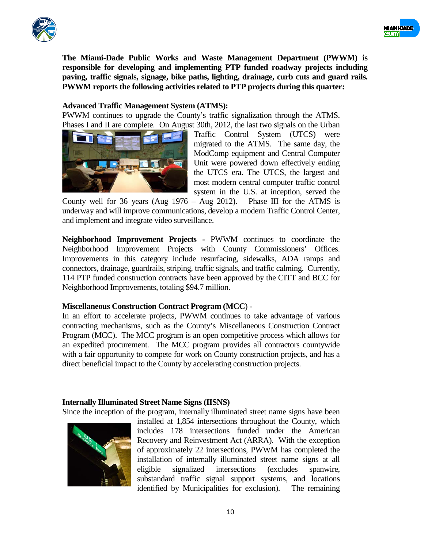



**The Miami-Dade Public Works and Waste Management Department (PWWM) is responsible for developing and implementing PTP funded roadway projects including paving, traffic signals, signage, bike paths, lighting, drainage, curb cuts and guard rails. PWWM reports the following activities related to PTP projects during this quarter:**

## **Advanced Traffic Management System (ATMS):**

PWWM continues to upgrade the County's traffic signalization through the ATMS. Phases I and II are complete. On August 30th, 2012, the last two signals on the Urban



Traffic Control System (UTCS) were migrated to the ATMS. The same day, the ModComp equipment and Central Computer Unit were powered down effectively ending the UTCS era. The UTCS, the largest and most modern central computer traffic control system in the U.S. at inception, served the

County well for 36 years (Aug 1976 – Aug 2012). Phase III for the ATMS is underway and will improve communications, develop a modern Traffic Control Center, and implement and integrate video surveillance.

**Neighborhood Improvement Projects -** PWWM continues to coordinate the Neighborhood Improvement Projects with County Commissioners' Offices. Improvements in this category include resurfacing, sidewalks, ADA ramps and connectors, drainage, guardrails, striping, traffic signals, and traffic calming. Currently, 114 PTP funded construction contracts have been approved by the CITT and BCC for Neighborhood Improvements, totaling \$94.7 million.

## **Miscellaneous Construction Contract Program (MCC**) -

In an effort to accelerate projects, PWWM continues to take advantage of various contracting mechanisms, such as the County's Miscellaneous Construction Contract Program (MCC). The MCC program is an open competitive process which allows for an expedited procurement. The MCC program provides all contractors countywide with a fair opportunity to compete for work on County construction projects, and has a direct beneficial impact to the County by accelerating construction projects.

## **Internally Illuminated Street Name Signs (IISNS)**

Since the inception of the program, internally illuminated street name signs have been



installed at 1,854 intersections throughout the County, which includes 178 intersections funded under the American Recovery and Reinvestment Act (ARRA). With the exception of approximately 22 intersections, PWWM has completed the installation of internally illuminated street name signs at all eligible signalized intersections (excludes spanwire, substandard traffic signal support systems, and locations identified by Municipalities for exclusion). The remaining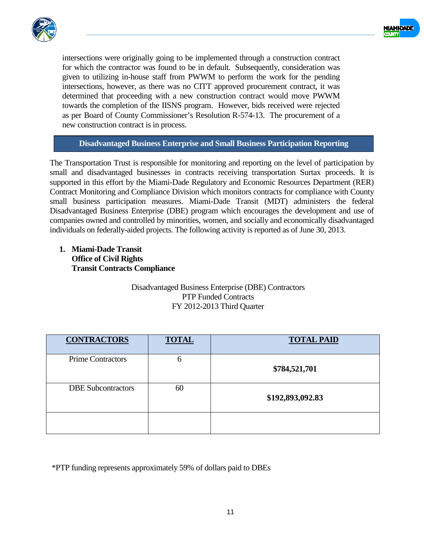



intersections were originally going to be implemented through a construction contract for which the contractor was found to be in default. Subsequently, consideration was given to utilizing in-house staff from PWWM to perform the work for the pending intersections, however, as there was no CITT approved procurement contract, it was determined that proceeding with a new construction contract would move PWWM towards the completion of the IISNS program. However, bids received were rejected as per Board of County Commissioner's Resolution R-574-13. The procurement of a new construction contract is in process.

## **Disadvantaged Business Enterprise and Small Business Participation Reporting**

The Transportation Trust is responsible for monitoring and reporting on the level of participation by small and disadvantaged businesses in contracts receiving transportation Surtax proceeds. It is supported in this effort by the Miami-Dade Regulatory and Economic Resources Department (RER) Contract Monitoring and Compliance Division which monitors contracts for compliance with County small business participation measures. Miami-Dade Transit (MDT) administers the federal Disadvantaged Business Enterprise (DBE) program which encourages the development and use of companies owned and controlled by minorities, women, and socially and economically disadvantaged individuals on federally-aided projects. The following activity is reported as of June 30, 2013.

**1. Miami-Dade Transit Office of Civil Rights Transit Contracts Compliance**

## Disadvantaged Business Enterprise (DBE) Contractors PTP Funded Contracts FY 2012-2013 Third Quarter

| <b>CONTRACTORS</b>        | <b>TOTAL</b> | <b>TOTAL PAID</b> |
|---------------------------|--------------|-------------------|
| <b>Prime Contractors</b>  | 6            | \$784,521,701     |
| <b>DBE</b> Subcontractors | 60           | \$192,893,092.83  |
|                           |              |                   |

\*PTP funding represents approximately 59% of dollars paid to DBEs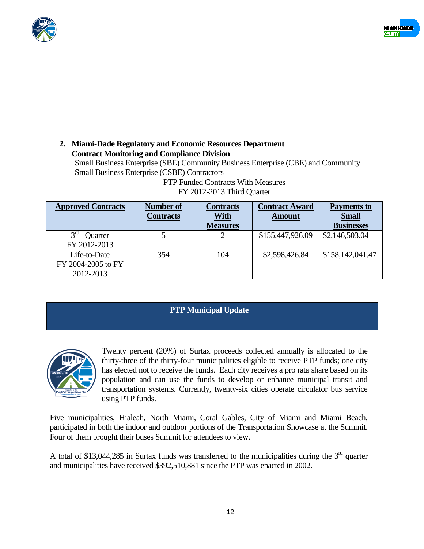



## **2. Miami-Dade Regulatory and Economic Resources Department Contract Monitoring and Compliance Division**

Small Business Enterprise (SBE) Community Business Enterprise (CBE) and Community Small Business Enterprise (CSBE) Contractors

| <b>Approved Contracts</b>                       | Number of<br><b>Contracts</b> | <b>Contracts</b><br><u>With</u> | <b>Contract Award</b><br><b>Amount</b> | <b>Payments to</b><br><b>Small</b> |
|-------------------------------------------------|-------------------------------|---------------------------------|----------------------------------------|------------------------------------|
|                                                 |                               | <b>Measures</b>                 |                                        | <b>Businesses</b>                  |
| 3 <sup>rd</sup><br>Quarter<br>FY 2012-2013      |                               |                                 | \$155,447,926.09                       | \$2,146,503.04                     |
| Life-to-Date<br>FY 2004-2005 to FY<br>2012-2013 | 354                           | 104                             | \$2,598,426.84                         | \$158,142,041.47                   |

## PTP Funded Contracts With Measures FY 2012-2013 Third Quarter

## **PTP Municipal Update**



Twenty percent (20%) of Surtax proceeds collected annually is allocated to the thirty-three of the thirty-four municipalities eligible to receive PTP funds; one city has elected not to receive the funds. Each city receives a pro rata share based on its population and can use the funds to develop or enhance municipal transit and transportation systems. Currently, twenty-six cities operate circulator bus service using PTP funds.

Five municipalities, Hialeah, North Miami, Coral Gables, City of Miami and Miami Beach, participated in both the indoor and outdoor portions of the Transportation Showcase at the Summit. Four of them brought their buses Summit for attendees to view.

A total of \$13,044,285 in Surtax funds was transferred to the municipalities during the  $3<sup>rd</sup>$  quarter and municipalities have received \$392,510,881 since the PTP was enacted in 2002.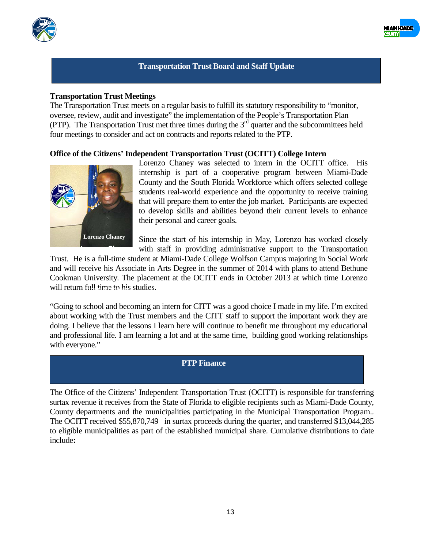



#### **Transportation Trust Board and Staff Update**

#### **Transportation Trust Meetings**

The Transportation Trust meets on a regular basis to fulfill its statutory responsibility to "monitor, oversee, review, audit and investigate" the implementation of the People's Transportation Plan (PTP). The Transportation Trust met three times during the 3rd quarter and the subcommittees held four meetings to consider and act on contracts and reports related to the PTP.

#### **Office of the Citizens' Independent Transportation Trust (OCITT) College Intern**



Lorenzo Chaney was selected to intern in the OCITT office. His internship is part of a cooperative program between Miami-Dade County and the South Florida Workforce which offers selected college students real-world experience and the opportunity to receive training that will prepare them to enter the job market. Participants are expected to develop skills and abilities beyond their current levels to enhance their personal and career goals.

Since the start of his internship in May, Lorenzo has worked closely with staff in providing administrative support to the Transportation

Trust. He is a full-time student at Miami-Dade College Wolfson Campus majoring in Social Work and will receive his Associate in Arts Degree in the summer of 2014 with plans to attend Bethune Cookman University. The placement at the OCITT ends in October 2013 at which time Lorenzo will return full time to his studies.

"Going to school and becoming an intern for CITT was a good choice I made in my life. I'm excited about working with the Trust members and the CITT staff to support the important work they are doing. I believe that the lessons I learn here will continue to benefit me throughout my educational and professional life. I am learning a lot and at the same time, building good working relationships with everyone."

#### **PTP Finance**

The Office of the Citizens' Independent Transportation Trust (OCITT) is responsible for transferring surtax revenue it receives from the State of Florida to eligible recipients such as Miami-Dade County, County departments and the municipalities participating in the Municipal Transportation Program.. The OCITT received \$55,870,749 in surtax proceeds during the quarter, and transferred \$13,044,285 to eligible municipalities as part of the established municipal share. Cumulative distributions to date include**:**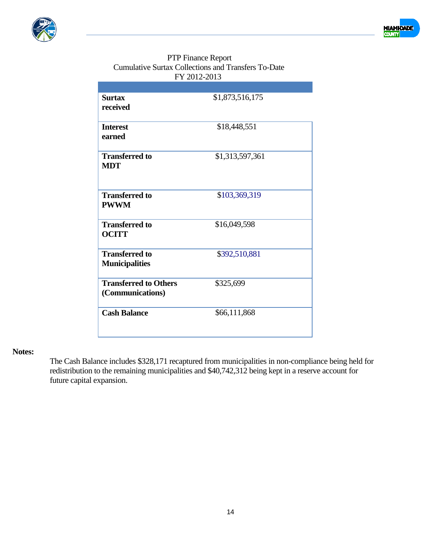



## PTP Finance Report Cumulative Surtax Collections and Transfers To-Date FY 2012-2013

| <b>Surtax</b><br>received                        | \$1,873,516,175 |
|--------------------------------------------------|-----------------|
| <b>Interest</b><br>earned                        | \$18,448,551    |
| <b>Transferred to</b><br><b>MDT</b>              | \$1,313,597,361 |
| <b>Transferred to</b><br><b>PWWM</b>             | \$103,369,319   |
| <b>Transferred to</b><br><b>OCITT</b>            | \$16,049,598    |
| <b>Transferred to</b><br><b>Municipalities</b>   | \$392,510,881   |
| <b>Transferred to Others</b><br>(Communications) | \$325,699       |
| <b>Cash Balance</b>                              | \$66,111,868    |

## **Notes:**

The Cash Balance includes \$328,171 recaptured from municipalities in non-compliance being held for redistribution to the remaining municipalities and \$40,742,312 being kept in a reserve account for future capital expansion.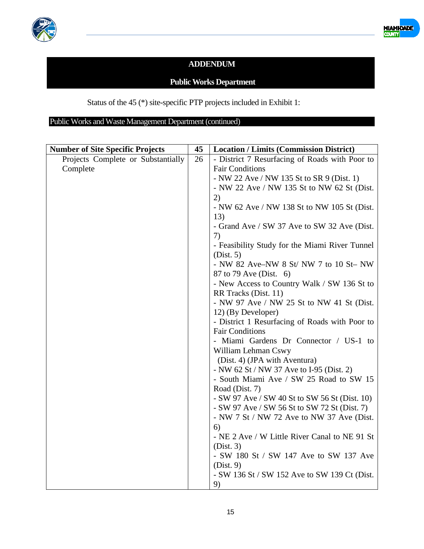



## **ADDENDUM**

## **Public Works Department**

Status of the 45 (\*) site-specific PTP projects included in Exhibit 1:

Public Works and Waste Management Department (continued)

| <b>Number of Site Specific Projects</b> | 45 | <b>Location / Limits (Commission District)</b> |
|-----------------------------------------|----|------------------------------------------------|
| Projects Complete or Substantially      | 26 | - District 7 Resurfacing of Roads with Poor to |
| Complete                                |    | <b>Fair Conditions</b>                         |
|                                         |    | - NW 22 Ave / NW 135 St to SR 9 (Dist. 1)      |
|                                         |    | - NW 22 Ave / NW 135 St to NW 62 St (Dist.     |
|                                         |    | 2)                                             |
|                                         |    | - NW 62 Ave / NW 138 St to NW 105 St (Dist.    |
|                                         |    | 13)                                            |
|                                         |    | - Grand Ave / SW 37 Ave to SW 32 Ave (Dist.    |
|                                         |    | 7)                                             |
|                                         |    | - Feasibility Study for the Miami River Tunnel |
|                                         |    | (Dist. 5)                                      |
|                                         |    | - NW 82 Ave-NW 8 St/ NW 7 to 10 St- NW         |
|                                         |    | 87 to 79 Ave (Dist. 6)                         |
|                                         |    | - New Access to Country Walk / SW 136 St to    |
|                                         |    | RR Tracks (Dist. 11)                           |
|                                         |    | - NW 97 Ave / NW 25 St to NW 41 St (Dist.      |
|                                         |    | 12) (By Developer)                             |
|                                         |    | - District 1 Resurfacing of Roads with Poor to |
|                                         |    | <b>Fair Conditions</b>                         |
|                                         |    | - Miami Gardens Dr Connector / US-1 to         |
|                                         |    | William Lehman Cswy                            |
|                                         |    | (Dist. 4) (JPA with Aventura)                  |
|                                         |    | - NW 62 St / NW 37 Ave to I-95 (Dist. 2)       |
|                                         |    | - South Miami Ave / SW 25 Road to SW 15        |
|                                         |    | Road (Dist. 7)                                 |
|                                         |    | - SW 97 Ave / SW 40 St to SW 56 St (Dist. 10)  |
|                                         |    | - SW 97 Ave / SW 56 St to SW 72 St (Dist. 7)   |
|                                         |    | - NW 7 St / NW 72 Ave to NW 37 Ave (Dist.      |
|                                         |    | 6)                                             |
|                                         |    | - NE 2 Ave / W Little River Canal to NE 91 St  |
|                                         |    | (Dist. 3)                                      |
|                                         |    | - SW 180 St / SW 147 Ave to SW 137 Ave         |
|                                         |    | (Dist. 9)                                      |
|                                         |    | - SW 136 St / SW 152 Ave to SW 139 Ct (Dist.   |
|                                         |    | 9)                                             |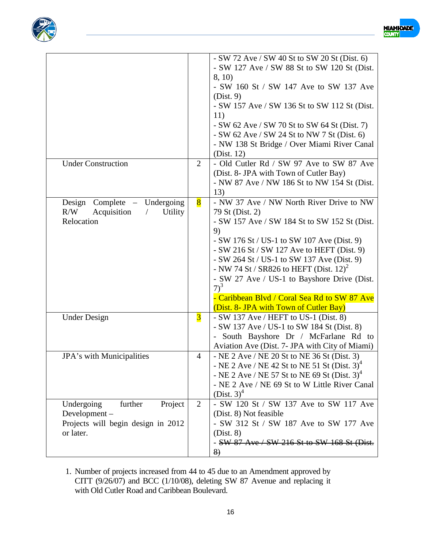



|                         | $-SW$ 72 Ave / SW 40 St to SW 20 St (Dist. 6)                  |
|-------------------------|----------------------------------------------------------------|
|                         | - SW 127 Ave / SW 88 St to SW 120 St (Dist.                    |
|                         | 8, 10)                                                         |
|                         | - SW 160 St / SW 147 Ave to SW 137 Ave                         |
|                         | (Dist. 9)                                                      |
|                         | - SW 157 Ave / SW 136 St to SW 112 St (Dist.<br>11)            |
|                         | - SW 62 Ave / SW 70 St to SW 64 St (Dist. 7)                   |
|                         | $-SW$ 62 Ave / SW 24 St to NW 7 St (Dist. 6)                   |
|                         | - NW 138 St Bridge / Over Miami River Canal                    |
|                         | (Dist. 12)                                                     |
| $\overline{2}$          | - Old Cutler Rd / SW 97 Ave to SW 87 Ave                       |
|                         | (Dist. 8- JPA with Town of Cutler Bay)                         |
|                         | - NW 87 Ave / NW 186 St to NW 154 St (Dist.                    |
|                         | 13)                                                            |
|                         | - NW 37 Ave / NW North River Drive to NW                       |
|                         | 79 St (Dist. 2)                                                |
|                         | - SW 157 Ave / SW 184 St to SW 152 St (Dist.                   |
|                         | 9)<br>- SW 176 St / US-1 to SW 107 Ave (Dist. 9)               |
|                         | $-SW 216$ St / SW 127 Ave to HEFT (Dist. 9)                    |
|                         | - SW 264 St / US-1 to SW 137 Ave (Dist. 9)                     |
|                         | - NW 74 St / SR826 to HEFT (Dist. $12)^2$                      |
|                         | - SW 27 Ave / US-1 to Bayshore Drive (Dist.                    |
|                         | $7)^3$                                                         |
|                         | - Caribbean Blvd / Coral Sea Rd to SW 87 Ave                   |
|                         | (Dist. 8- JPA with Town of Cutler Bay)                         |
| $\overline{\mathbf{3}}$ | $-SW$ 137 Ave / HEFT to US-1 (Dist. 8)                         |
|                         | - SW 137 Ave / US-1 to SW 184 St (Dist. 8)                     |
|                         | - South Bayshore Dr / McFarlane Rd to                          |
|                         | Aviation Ave (Dist. 7- JPA with City of Miami)                 |
| 4                       | - NE 2 Ave / NE 20 St to NE 36 St (Dist. 3)                    |
|                         | - NE 2 Ave / NE 42 St to NE 51 St (Dist. $3)^4$                |
|                         | - NE 2 Ave / NE 57 St to NE 69 St (Dist. 3) <sup>4</sup>       |
|                         | - NE 2 Ave / NE 69 St to W Little River Canal<br>(Dist. $3)^4$ |
|                         | - SW 120 St / SW 137 Ave to SW 117 Ave                         |
|                         | (Dist. 8) Not feasible                                         |
|                         | - SW 312 St / SW 187 Ave to SW 177 Ave                         |
|                         | (Dist. 8)                                                      |
|                         | - SW 87 Ave / SW 216 St to SW 168 St (Dist.                    |
|                         |                                                                |
|                         | $\bf{8}$<br>2                                                  |

1. Number of projects increased from 44 to 45 due to an Amendment approved by CITT (9/26/07) and BCC (1/10/08), deleting SW 87 Avenue and replacing it with Old Cutler Road and Caribbean Boulevard.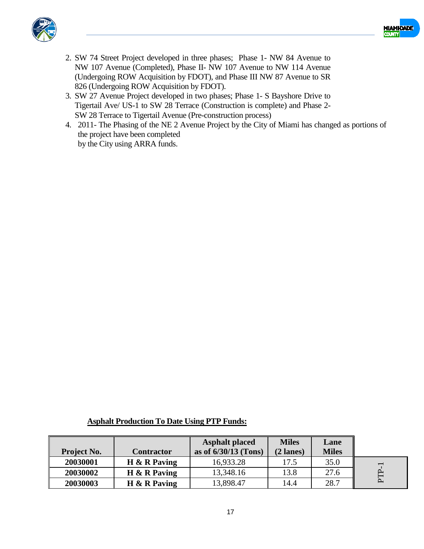



- 2. SW 74 Street Project developed in three phases; Phase 1- NW 84 Avenue to NW 107 Avenue (Completed), Phase II- NW 107 Avenue to NW 114 Avenue (Undergoing ROW Acquisition by FDOT), and Phase III NW 87 Avenue to SR 826 (Undergoing ROW Acquisition by FDOT).
- 3. SW 27 Avenue Project developed in two phases; Phase 1- S Bayshore Drive to Tigertail Ave/ US-1 to SW 28 Terrace (Construction is complete) and Phase 2- SW 28 Terrace to Tigertail Avenue (Pre-construction process)
- 4. 2011- The Phasing of the NE 2 Avenue Project by the City of Miami has changed as portions of the project have been completed by the City using ARRA funds.

| <b>Project No.</b> | <b>Contractor</b> | <b>Asphalt placed</b><br>as of $6/30/13$ (Tons) | <b>Miles</b><br>$(2$ lanes) | Lane<br><b>Miles</b> |                          |
|--------------------|-------------------|-------------------------------------------------|-----------------------------|----------------------|--------------------------|
| 20030001           | $H \& R$ Paving   | 16,933.28                                       | 17.5                        | 35.0                 | $\overline{\phantom{0}}$ |
| 20030002           | $H \& R$ Paving   | 13,348.16                                       | 13.8                        | 27.6                 |                          |
| 20030003           | $H \& R$ Paving   | 13,898.47                                       | 14.4                        | 28.7                 |                          |